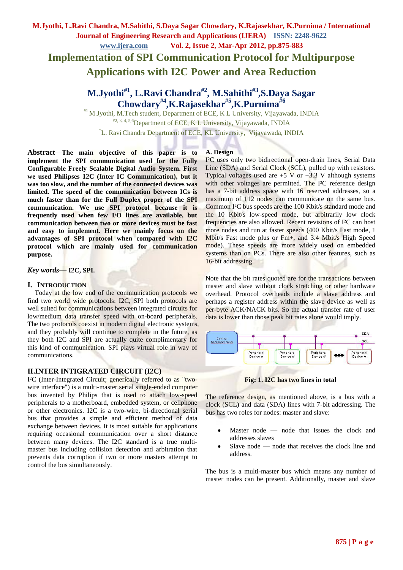**Implementation of SPI Communication Protocol for Multipurpose Applications with I2C Power and Area Reduction**

# **M.Jyothi#1 , L.Ravi Chandra#2 , M.Sahithi#3 ,S.Daya Sagar Chowdary#4,K.Rajasekhar#5 ,K.Purnima#6**

#1 M.Jyothi, M.Tech student, Department of ECE, K L University, Vijayawada, INDIA

#2, 3, 4, 5,6Department of ECE, K L University, Vijayawada, INDIA

\*L. Ravi Chandra Department of ECE, KL University, Vijayawada, INDIA

**Abstract***—***The main objective of this paper is to implement the SPI communication used for the Fully Configurable Freely Scalable Digital Audio System. First we used Philipses 12C (Inter IC Communication), but it was too slow, and the number of the connected devices was limited**. **The speed of the communication between ICs is much faster than for the Full Duplex proper of the SPI communication. We use SPI protocol because it is frequently used when few I/O lines are available, but communication between two or more devices must be fast and easy to implement. Here we mainly focus on the advantages of SPI protocol when compared with I2C protocol which are mainly used for communication purpose.**

*Key words***— I2C, SPI.**

## **I. INTRODUCTION**

Today at the low end of the communication protocols we find two world wide protocols: I2C, SPI both protocols are well suited for communications between integrated circuits for low/medium data transfer speed with on-board peripherals. The two protocols coexist in modern digital electronic systems, and they probably will continue to complete in the future, as they both I2C and SPI are actually quite complimentary for this kind of communication. SPI plays virtual role in way of communications.

## **II.INTER INTIGRATED CIRCUIT (I2C)**

I²C (Inter-Integrated Circuit; generically referred to as "twowire interface") is a [multi-master](http://en.wikipedia.org/wiki/Multi-master_bus) [serial](http://en.wikipedia.org/wiki/Serial_communications) [single-ended](http://en.wikipedia.org/wiki/Single-ended_signalling) [computer](http://en.wikipedia.org/wiki/Computer_bus)  [bus](http://en.wikipedia.org/wiki/Computer_bus) invented by [Philips](http://en.wikipedia.org/wiki/Philips) that is used to attach low-speed peripherals to a [motherboard,](http://en.wikipedia.org/wiki/Motherboard) [embedded system,](http://en.wikipedia.org/wiki/Embedded_system) or [cellphone](http://en.wikipedia.org/wiki/Cellphone) or other electronics. I2C is a two-wire, bi-directional serial bus that provides a simple and efficient method of data exchange between devices. It is most suitable for applications requiring occasional communication over a short distance between many devices. The I2C standard is a true multimaster bus including collision detection and arbitration that prevents data corruption if two or more masters attempt to control the bus simultaneously.

### **A. Design**

I²C uses only two bidirectional [open-drain](http://en.wikipedia.org/wiki/Open_drain) lines, Serial Data Line (SDA) and Serial Clock (SCL), [pulled up](http://en.wikipedia.org/wiki/Pull-up_resistor) with [resistors.](http://en.wikipedia.org/wiki/Resistor) Typical voltages used are  $+5$  V or  $+3.3$  V although systems with other voltages are permitted. The I²C [reference design](http://en.wikipedia.org/wiki/Reference_design) has a 7-bit [address space](http://en.wikipedia.org/wiki/Address_space) with 16 reserved addresses, so a maximum of 112 nodes can communicate on the same bus. Common I²C bus speeds are the 100 [Kbit/s](http://en.wikipedia.org/wiki/Kbit/s) standard mode and the 10 Kbit/s low-speed mode, but arbitrarily low clock frequencies are also allowed. Recent revisions of I²C can host more nodes and run at faster speeds (400 Kbit/s Fast mode, 1 [Mbit/s](http://en.wikipedia.org/wiki/Mbit/s) Fast mode plus or Fm+, and 3.4 Mbit/s High Speed mode). These speeds are more widely used on embedded systems than on PCs. There are also other features, such as 16-bit addressing.

Note that the bit rates quoted are for the transactions between master and slave without clock stretching or other hardware overhead. Protocol overheads include a slave address and perhaps a register address within the slave device as well as per-byte ACK/NACK bits. So the actual transfer rate of user data is lower than those peak bit rates alone would imply.



**Fig: 1. I2C has two lines in total**

The reference design, as mentioned above, is a bus with a [clock](http://en.wikipedia.org/wiki/Clock_signal) (SCL) and data (SDA) lines with 7-bit addressing. The bus has two roles for nodes: master and slave:

- Master node node that issues the clock and addresses slaves
- Slave node node that receives the clock line and address.

The bus is a [multi-master bus](http://en.wikipedia.org/wiki/Multi-master_bus) which means any number of master nodes can be present. Additionally, master and slave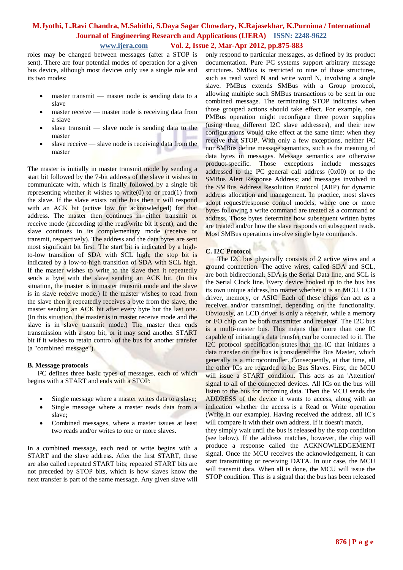roles may be changed between messages (after a STOP is sent). There are four potential modes of operation for a given bus device, although most devices only use a single role and its two modes:

- master [transmit](http://en.wikipedia.org/wiki/Transmission_%28telecommunications%29) master node is sending data to a slave
- master receive master node is receiving data from a slave
- $\bullet$  slave transmit slave node is sending data to the master
- slave receive slave node is receiving data from the master

The master is initially in master transmit mode by sending a [start bit](http://en.wikipedia.org/wiki/Start_bit) followed by the 7-bit address of the slave it wishes to communicate with, which is finally followed by a single bit representing whether it wishes to write(0) to or read(1) from the slave. If the slave exists on the bus then it will respond with an [ACK](http://en.wikipedia.org/wiki/Acknowledgement_%28data_networks%29) bit (active low for acknowledged) for that address. The master then continues in either transmit or receive mode (according to the read/write bit it sent), and the slave continues in its complementary mode (receive or transmit, respectively). The address and the data bytes are sent [most significant bit](http://en.wikipedia.org/wiki/Most_significant_bit) first. The start bit is indicated by a highto-low transition of SDA with SCL high; the stop bit is indicated by a low-to-high transition of SDA with SCL high. If the master wishes to write to the slave then it repeatedly sends a byte with the slave sending an ACK bit. (In this situation, the master is in master transmit mode and the slave is in slave receive mode.) If the master wishes to read from the slave then it repeatedly receives a byte from the slave, the master sending an ACK bit after every byte but the last one. (In this situation, the master is in master receive mode and the slave is in slave transmit mode.) The master then ends transmission with a [stop bit,](http://en.wikipedia.org/wiki/Stop_bit) or it may send another START bit if it wishes to retain control of the bus for another transfer (a "combined message").

### **B. Message protocols**

 I²C defines three basic types of messages, each of which begins with a START and ends with a STOP:

- Single message where a master writes data to a slave;
- Single message where a master reads data from a slave;
- Combined messages, where a master issues at least two reads and/or writes to one or more slaves.

In a combined message, each read or write begins with a START and the slave address. After the first START, these are also called repeated START bits; repeated START bits are not preceded by STOP bits, which is how slaves know the next transfer is part of the same message. Any given slave will

only respond to particular messages, as defined by its product documentation. Pure I²C systems support arbitrary message structures. [SMBus](http://en.wikipedia.org/wiki/SMBus) is restricted to nine of those structures, such as read word N and write word N, involving a single slave. [PMBus](http://en.wikipedia.org/wiki/PMBus) extends SMBus with a Group protocol, allowing multiple such SMBus transactions to be sent in one combined message. The terminating STOP indicates when those grouped actions should take effect. For example, one PMBus operation might reconfigure three power supplies (using three different I2C slave addresses), and their new configurations would take effect at the same time: when they receive that STOP. With only a few exceptions, neither I²C nor SMBus define message semantics, such as the meaning of data bytes in messages. Message semantics are otherwise product-specific. Those exceptions include messages addressed to the I²C general call address (0x00) or to the SMBus Alert Response Address; and messages involved in the SMBus Address Resolution Protocol (ARP) for dynamic address allocation and management. In practice, most slaves adopt request/response control models, where one or more bytes following a write command are treated as a command or address. Those bytes determine how subsequent written bytes are treated and/or how the slave responds on subsequent reads. Most SMBus operations involve single byte commands.

### **C. I2C Protocol**

 The I2C bus physically consists of 2 active wires and a ground connection. The active wires, called SDA and SCL, are both bidirectional. SDA is the **S**erial Data line, and SCL is the **S**erial Clock line. Every device hooked up to the bus has its own unique address, no matter whether it is an MCU, LCD driver, memory, or ASIC. Each of these chips can act as a receiver and/or transmitter, depending on the functionality. Obviously, an LCD driver is only a receiver, while a memory or I/O chip can be both transmitter and receiver. The I2C bus is a multi-master bus. This means that more than one IC capable of initiating a data transfer can be connected to it. The I2C protocol specification states that the IC that initiates a data transfer on the bus is considered the Bus Master, which generally is a microcontroller. Consequently, at that time, all the other ICs are regarded to be Bus Slaves. First, the MCU will issue a START condition. This acts as an 'Attention' signal to all of the connected devices. All ICs on the bus will listen to the bus for incoming data. Then the MCU sends the ADDRESS of the device it wants to access, along with an indication whether the access is a Read or Write operation (Write in our example). Having received the address, all IC's will compare it with their own address. If it doesn't match,

they simply wait until the bus is released by the stop condition (see below). If the address matches, however, the chip will produce a response called the ACKNOWLEDGEMENT signal. Once the MCU receives the acknowledgement, it can start transmitting or receiving DATA. In our case, the MCU will transmit data. When all is done, the MCU will issue the STOP condition. This is a signal that the bus has been released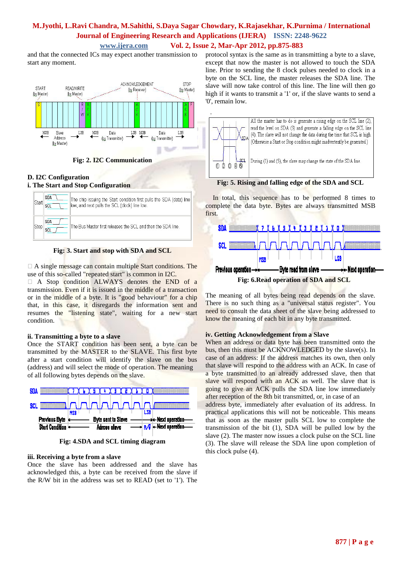and that the connected ICs may expect another transmission to start any moment.



**Fig: 2. I2C Communication**

## **D. I2C Configuration**

### **i. The Start and Stop Configuration**

| <b>SDA</b><br>scl | The chip issuing the Start condition first pulls the SDA (data) line<br>low, and next pulls the SCL (clock) line low. |
|-------------------|-----------------------------------------------------------------------------------------------------------------------|
| SDA               | The Bus Master first releases the SCL and then the SDA line.                                                          |

**Fig: 3. Start and stop with SDA and SCL**

 $\Box$  A single message can contain multiple Start conditions. The use of this so-called "repeated start" is common in I2C.

 A Stop condition ALWAYS denotes the END of a transmission. Even if it is issued in the middle of a transaction or in the middle of a byte. It is "good behaviour" for a chip that, in this case, it disregards the information sent and resumes the "listening state", waiting for a new start condition.

## **ii. Transmitting a byte to a slave**

Once the START condition has been sent, a byte can be transmitted by the MASTER to the SLAVE. This first byte after a start condition will identify the slave on the bus (address) and will select the mode of operation. The meaning of all following bytes depends on the slave.



**Fig: 4.SDA and SCL timing diagram**

### **iii. Receiving a byte from a slave**

Once the slave has been addressed and the slave has acknowledged this, a byte can be received from the slave if the R/W bit in the address was set to READ (set to '1'). The protocol syntax is the same as in transmitting a byte to a slave, except that now the master is not allowed to touch the SDA line. Prior to sending the 8 clock pulses needed to clock in a byte on the SCL line, the master releases the SDA line. The slave will now take control of this line. The line will then go high if it wants to transmit a '1' or, if the slave wants to send a '0', remain low.



**Fig: 5. Rising and falling edge of the SDA and SCL**

In total, this sequence has to be performed 8 times to complete the data byte. Bytes are always transmitted MSB first.



The meaning of all bytes being read depends on the slave. There is no such thing as a "universal status register". You need to consult the data sheet of the slave being addressed to know the meaning of each bit in any byte transmitted.

## **iv. Getting Acknowledgement from a Slave**

When an address or data byte has been transmitted onto the bus, then this must be ACKNOWLEDGED by the slave(s). In case of an address: If the address matches its own, then only that slave will respond to the address with an ACK. In case of a byte transmitted to an already addressed slave, then that slave will respond with an ACK as well. The slave that is going to give an ACK pulls the SDA line low immediately after reception of the 8th bit transmitted, or, in case of an address byte, immediately after evaluation of its address. In practical applications this will not be noticeable. This means that as soon as the master pulls SCL low to complete the transmission of the bit (1), SDA will be pulled low by the slave (2). The master now issues a clock pulse on the SCL line (3). The slave will release the SDA line upon completion of this clock pulse (4).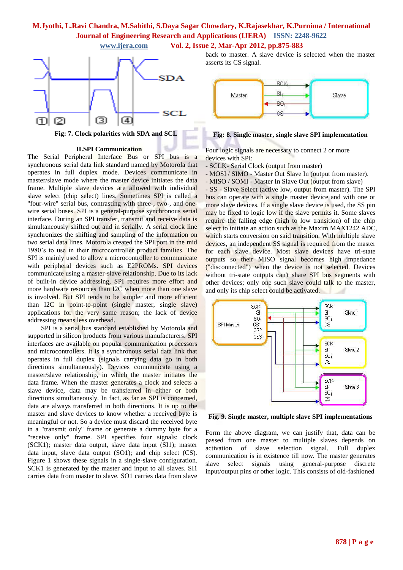



**Fig: 7. Clock polarities with SDA and SCL**

#### **II.SPI Communication**

The Serial Peripheral Interface Bus or SPI bus is a [synchronous](http://en.wikipedia.org/wiki/Synchronization_%28computer_science%29) [serial data link](http://en.wikipedia.org/wiki/Serial_communications) standard named by [Motorola](http://en.wikipedia.org/wiki/Motorola) that operates in [full duplex](http://en.wikipedia.org/wiki/Full_duplex) mode. Devices communicate in [master/slave](http://en.wikipedia.org/wiki/Master-slave_%28technology%29) mode where the master device initiates the [data](http://en.wikipedia.org/wiki/Data_frame)  [frame.](http://en.wikipedia.org/wiki/Data_frame) Multiple slave devices are allowed with individual [slave select](http://en.wikipedia.org/wiki/Slave_select) [\(chip select\)](http://en.wikipedia.org/wiki/Chip_select) lines. Sometimes SPI is called a "four-wire" serial bus, contrasting with [three-,](file:///E:\project\spi\spi%20doc\Serial_Peripheral_Interface_Bus.htm%233-wire_serial_buses) [two-,](http://en.wikipedia.org/wiki/I2C) and [one](http://en.wikipedia.org/wiki/1-Wire)[wire](http://en.wikipedia.org/wiki/1-Wire) serial buses. SPI is a general-purpose synchronous serial interface. During an SPI transfer, transmit and receive data is simultaneously shifted out and in serially. A serial clock line synchronizes the shifting and sampling of the information on two serial data lines. Motorola created the SPI port in the mid 1980's to use in their microcontroller product families. The SPI is mainly used to allow a microcontroller to communicate with peripheral devices such as E2PROMs. SPI devices communicate using a master-slave relationship. Due to its lack of built-in device addressing, SPI requires more effort and more hardware resources than I2C when more than one slave is involved. But SPI tends to be simpler and more efficient than I2C in point-to-point (single master, single slave) applications for the very same reason; the lack of device addressing means less overhead.

SPI is a serial bus standard established by Motorola and supported in silicon products from various manufacturers. SPI interfaces are available on popular communication processors and microcontrollers. It is a synchronous serial data link that operates in full duplex (signals carrying data go in both directions simultaneously). Devices communicate using a master/slave relationship, in which the master initiates the data frame. When the master generates a clock and selects a slave device, data may be transferred in either or both directions simultaneously. In fact, as far as SPI is concerned, data are always transferred in both directions. It is up to the master and slave devices to know whether a received byte is meaningful or not. So a device must discard the received byte in a "transmit only" frame or generate a dummy byte for a "receive only" frame. SPI specifies four signals: clock (SCK1); master data output, slave data input (SI1); master data input, slave data output (SO1); and chip select (CS). Figure 1 shows these signals in a single-slave configuration. SCK1 is generated by the master and input to all slaves. SI1 carries data from master to slave. SO1 carries data from slave

back to master. A slave device is selected when the master asserts its CS signal.



#### **Fig: 8. Single master, single slave SPI implementation**

Four logic signals are necessary to connect 2 or more devices with SPI:

- SCLK- Serial Clock (output from master)
- MOSI / SIMO Master Out Slave In (output from master).
- MISO / SOMI Master In Slave Out (output from slave)

- SS - Slave Select (active low, output from master). The SPI bus can operate with a single master device and with one or more slave devices. If a single slave device is used, the SS pin may be fixed to [logic low](http://en.wikipedia.org/wiki/Logic_level) if the slave permits it. Some slaves require the [falling edge](http://en.wikipedia.org/wiki/Falling_edge) (high to low transition) of the chip select to initiate an action such as the [Maxim](http://en.wikipedia.org/wiki/Maxim_Integrated_Products) MAX124[2 ADC,](http://en.wikipedia.org/wiki/Analog-to-digital_converter) which starts conversion on said transition. With multiple slave devices, an independent SS signal is required from the master for each slave device. Most slave devices have [tri-state](http://en.wikipedia.org/wiki/Tri-state_output)  [outputs](http://en.wikipedia.org/wiki/Tri-state_output) so their MISO signal becomes [high impedance](http://en.wikipedia.org/wiki/High_impedance) ("disconnected") when the device is not selected. Devices without tri-state outputs can't share SPI bus segments with other devices; only one such slave could talk to the master, and only its chip select could be activated.



**Fig. 9. Single master, multiple slave SPI implementations**

Form the above diagram, we can justify that, data can be passed from one master to multiple slaves depends on activation of slave selection signal. Full duplex communication is in existence till now. The master generates slave select signals using general-purpose discrete input/output pins or other logic. This consists of old-fashioned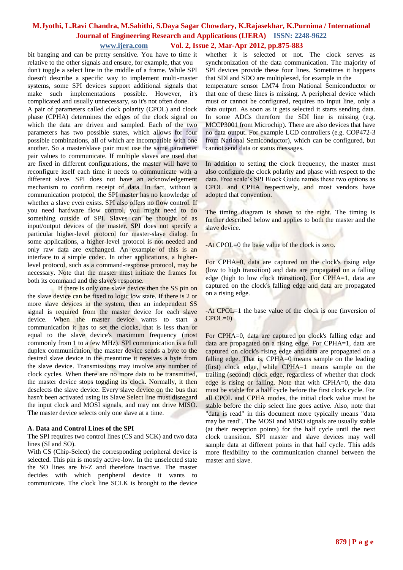bit banging and can be pretty sensitive. You have to time it relative to the other signals and ensure, for example, that you don't toggle a select line in the middle of a frame. While SPI doesn't describe a specific way to implement multi-master systems, some SPI devices support additional signals that make such implementations possible. However, it's complicated and usually unnecessary, so it's not often done.

A pair of parameters called clock polarity (CPOL) and clock phase (CPHA) determines the edges of the clock signal on which the data are driven and sampled. Each of the two parameters has two possible states, which allows for four possible combinations, all of which are incompatible with one another. So a master/slave pair must use the same parameter pair values to communicate. If multiple slaves are used that are fixed in different configurations, the master will have to reconfigure itself each time it needs to communicate with a different slave. SPI does not have an acknowledgement mechanism to confirm receipt of data. In fact, without a communication protocol, the SPI master has no knowledge of whether a slave even exists. SPI also offers no flow control. If you need hardware flow control, you might need to do something outside of SPI. Slaves can be thought of as input/output devices of the master. SPI does not specify a particular higher-level protocol for master-slave dialog. In some applications, a higher-level protocol is not needed and only raw data are exchanged. An example of this is an interface to a simple codec. In other applications, a higherlevel protocol, such as a command-response protocol, may be necessary. Note that the master must initiate the frames for both its command and the slave's response.

 If there is only one slave device then the SS pin on the slave device can be fixed to logic low state. If there is 2 or more slave devices in the system, then an independent SS signal is required from the master device for each slave device. When the master device wants to start a communication it has to set the clocks, that is less than or equal to the slave device's maximum frequency (most commonly from 1 to a few MHz). SPI communication is a full duplex communication, the master device sends a byte to the desired slave device in the meantime it receives a byte from the slave device. Transmissions may involve any number of clock cycles. When there are no more data to be transmitted, the master device stops toggling its clock. Normally, it then deselects the slave device. Every slave device on the bus that hasn't been activated using its Slave Select line must disregard the input clock and MOSI signals, and may not drive MISO. The master device selects only one slave at a time.

### **A. Data and Control Lines of the SPI**

The SPI requires two control lines (CS and SCK) and two data lines (SI and SO).

With CS (Chip-Select) the corresponding peripheral device is selected. This pin is mostly active-low. In the unselected state the SO lines are hi-Z and therefore inactive. The master decides with which peripheral device it wants to communicate. The clock line SCLK is brought to the device whether it is selected or not. The clock serves as synchronization of the data communication. The majority of SPI devices provide these four lines. Sometimes it happens that SDI and SDO are multiplexed, for example in the temperature sensor LM74 from National Semiconductor or that one of these lines is missing. A peripheral device which must or cannot be configured, requires no input line, only a data output. As soon as it gets selected it starts sending data. In some ADCs therefore the SDI line is missing (e.g. MCCP3001 from Microchip). There are also devices that have no data output. For example LCD controllers (e.g. COP472-3 from National Semiconductor), which can be configured, but cannot send data or status messages.

In addition to setting the clock frequency, the master must also configure the clock polarity and phase with respect to the data. Free scale's SPI Block Guide names these two options as CPOL and CPHA respectively, and most vendors have adopted that convention.

The [timing diagram](http://en.wikipedia.org/wiki/Digital_timing_diagram) is shown to the right. The timing is further described below and applies to both the master and the slave device.

-At CPOL=0 the base value of the clock is zero.

For CPHA=0, data are captured on the clock's [rising edge](http://en.wikipedia.org/wiki/Rising_edge) (low to high transition) and data are propagated on a [falling](http://en.wikipedia.org/wiki/Falling_edge)  [edge](http://en.wikipedia.org/wiki/Falling_edge) (high to low clock transition). For CPHA=1, data are captured on the clock's falling edge and data are propagated on a rising edge.

-At CPOL=1 the base value of the clock is one (inversion of  $CPOL=0$ )

For CPHA=0, data are captured on clock's falling edge and data are propagated on a rising edge. For CPHA=1, data are captured on clock's rising edge and data are propagated on a falling edge. That is, CPHA=0 means sample on the leading (first) clock edge, while CPHA=1 means sample on the trailing (second) clock edge, regardless of whether that clock edge is rising or falling. Note that with CPHA=0, the data must be stable for a half cycle before the first clock cycle. For all CPOL and CPHA modes, the initial clock value must be stable before the chip select line goes active. Also, note that "data is read" in this document more typically means "data may be read". The MOSI and MISO signals are usually stable (at their reception points) for the half cycle until the next clock transition. SPI master and slave devices may well sample data at different points in that half cycle. This adds more flexibility to the communication channel between the master and slave.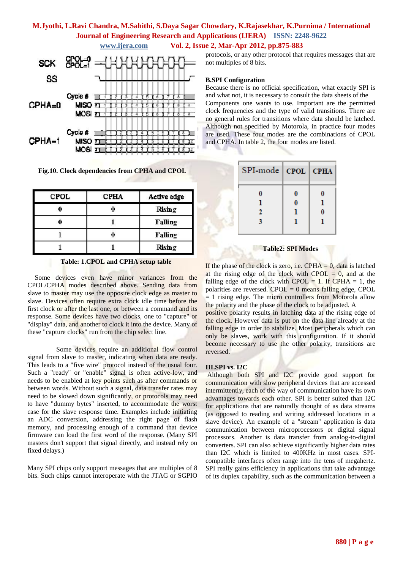

**Fig.10. Clock dependencies from CPHA and CPOL**

| <b>CPOL</b> | <b>CPHA</b> | Active edge    |
|-------------|-------------|----------------|
|             |             | <b>Rising</b>  |
|             |             | <b>Falling</b> |
|             |             | Falling        |
|             |             | <b>Rising</b>  |

#### **Table: 1.CPOL and CPHA setup table**

Some devices even have minor variances from the CPOL/CPHA modes described above. Sending data from slave to master may use the opposite clock edge as master to slave. Devices often require extra clock idle time before the first clock or after the last one, or between a command and its response. Some devices have two clocks, one to "capture" or "display" data, and another to clock it into the device. Many of these "capture clocks" run from the chip select line.

 Some devices require an additional flow control signal from slave to master, indicating when data are ready. This leads to a "five wire" protocol instead of the usual four. Such a "ready" or "enable" signal is often active-low, and needs to be enabled at key points such as after commands or between words. Without such a signal, data transfer rates may need to be slowed down significantly, or protocols may need to have "dummy bytes" inserted, to accommodate the worst case for the slave response time. Examples include initiating an ADC conversion, addressing the right page of flash memory, and processing enough of a command that device firmware can load the first word of the response. (Many SPI masters don't support that signal directly, and instead rely on fixed delays.)

Many SPI chips only support messages that are multiples of 8 bits. Such chips cannot interoperate with the [JTAG](http://en.wikipedia.org/wiki/JTAG) or [SGPIO](http://en.wikipedia.org/wiki/SGPIO)

protocols, or any other protocol that requires messages that are not multiples of 8 bits.

#### **B.SPI Configuration**

Because there is no official specification, what exactly SPI is and what not, it is necessary to consult the data sheets of the Components one wants to use. Important are the permitted clock frequencies and the type of valid transitions. There are no general rules for transitions where data should be latched. Although not specified by Motorola, in practice four modes are used. These four modes are the combinations of CPOL and CPHA. In table 2, the four modes are listed.

| SPI-mode   CPOL   CPHA |        |  |
|------------------------|--------|--|
| 2                      | 0<br>0 |  |
|                        |        |  |

#### **Table2: SPI Modes**

If the phase of the clock is zero, i.e.  $CPHA = 0$ , data is latched at the rising edge of the clock with CPOL  $= 0$ , and at the falling edge of the clock with CPOL = 1. If CPHA = 1, the polarities are reversed. CPOL = 0 means falling edge, CPOL = 1 rising edge. The micro controllers from Motorola allow the polarity and the phase of the clock to be adjusted. A

positive polarity results in latching data at the rising edge of the clock. However data is put on the data line already at the falling edge in order to stabilize. Most peripherals which can only be slaves, work with this configuration. If it should become necessary to use the other polarity, transitions are reversed.

#### **III.SPI vs. I2C**

Although both SPI and I2C provide good support for communication with slow peripheral devices that are accessed intermittently, each of the way of communication have its own advantages towards each other. SPI is better suited than I2C for applications that are naturally thought of as data streams (as opposed to reading and writing addressed locations in a slave device). An example of a "stream" application is data communication between microprocessors or digital signal processors. Another is data transfer from analog-to-digital converters. SPI can also achieve significantly higher data rates than I2C which is limited to 400KHz in most cases. SPIcompatible interfaces often range into the tens of megahertz. SPI really gains efficiency in applications that take advantage of its duplex capability, such as the communication between a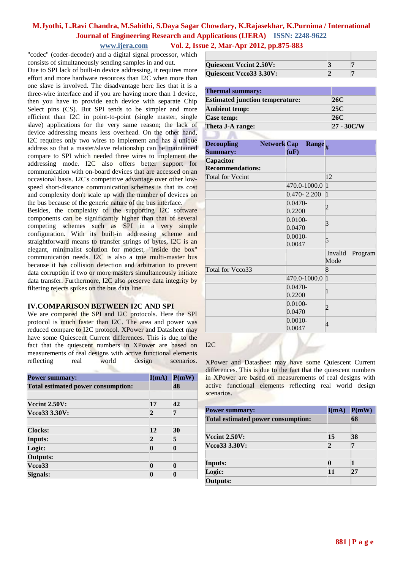"codec" (coder-decoder) and a digital signal processor, which consists of simultaneously sending samples in and out.

Due to SPI lack of built-in device addressing, it requires more effort and more hardware resources than I2C when more than one slave is involved. The disadvantage here lies that it is a three-wire interface and if you are having more than 1 device, then you have to provide each device with separate Chip Select pins (CS). But SPI tends to be simpler and more efficient than I2C in point-to-point (single master, single slave) applications for the very same reason; the lack of device addressing means less overhead. On the other hand, I2C requires only two wires to implement and has a unique address so that a master/slave relationship can be maintained compare to SPI which needed three wires to implement the addressing mode. I2C also offers better support for communication with on-board devices that are accessed on an occasional basis. I2C's competitive advantage over other lowspeed short-distance communication schemes is that its cost and complexity don't scale up with the number of devices on the bus because of the generic nature of the bus interface.

Besides, the complexity of the supporting I2C software components can be significantly higher than that of several competing schemes such as SPI in a very simple configuration. With its built-in addressing scheme and straightforward means to transfer strings of bytes, I2C is an elegant, minimalist solution for modest, "inside the box" communication needs. I2C is also a true multi-master bus because it has collision detection and arbitration to prevent data corruption if two or more masters simultaneously initiate data transfer. Furthermore, I2C also preserve data integrity by filtering rejects spikes on the bus data line.

## **IV.COMPARISON BETWEEN I2C AND SPI**

We are compared the SPI and I2C protocols. Here the SPI protocol is much faster than I2C. The area and power was reduced compare to I2C protocol. XPower and Datasheet may have some Quiescent Current differences. This is due to the fact that the quiescent numbers in XPower are based on measurements of real designs with active functional elements reflecting real world design scenarios.

| <b>Power summary:</b>                     | I(mA) | P(mW) |
|-------------------------------------------|-------|-------|
| <b>Total estimated power consumption:</b> |       | 48    |
|                                           |       |       |
| <b>Vecint 2.50V:</b>                      | 17    | 42    |
| Vcco33 3.30V:                             | 2     | 7     |
| <b>Clocks:</b>                            | 12    | 30    |
| <b>Inputs:</b>                            | 2     | 5     |
| Logic:                                    | n     | n     |
| <b>Outputs:</b>                           |       |       |
| Vcc <sub>0</sub> 33                       | 0     | n     |
| Signals:                                  |       |       |

| <b>Quiescent Vccint 2.50V:</b> |  |
|--------------------------------|--|
| Quiescent Vcco33 3.30V:        |  |

| <b>Thermal summary:</b>                |               |
|----------------------------------------|---------------|
| <b>Estimated junction temperature:</b> | 26C           |
| <b>Ambient temp:</b>                   | 25C           |
| Case temp:                             | 26C           |
| Theta J-A range:                       | $27 - 30$ C/W |

| <b>Decoupling</b>            | <b>Network</b> Cap | (uF)            | Range <sub>#</sub> |              |         |
|------------------------------|--------------------|-----------------|--------------------|--------------|---------|
| <b>Summary:</b>              |                    |                 |                    |              |         |
| Capacitor                    |                    |                 |                    |              |         |
| <b>Recommendations:</b>      |                    |                 |                    |              |         |
| <b>Total for Vecint</b>      |                    |                 |                    | 12           |         |
|                              |                    |                 | 470.0-1000.0       | $\vert$ 1    |         |
|                              |                    | $0.470 - 2.200$ |                    | $\vert$ 1    |         |
|                              |                    | $0.0470 -$      |                    |              |         |
|                              |                    | 0.2200          |                    | 2            |         |
|                              |                    | $0.0100 -$      |                    |              |         |
|                              |                    | 0.0470          |                    | 3            |         |
|                              |                    | $0.0010 -$      |                    | 5            |         |
|                              |                    | 0.0047          |                    |              |         |
|                              |                    |                 |                    | Invalid      | Program |
|                              |                    |                 |                    | Mode         |         |
| Total for Veco <sub>33</sub> |                    |                 |                    | 8            |         |
|                              |                    |                 | 470.0-1000.0       | $\vert$ 1    |         |
|                              |                    | $0.0470 -$      |                    |              |         |
|                              |                    | 0.2200          |                    | $\mathbf{1}$ |         |
|                              |                    | $0.0100 -$      |                    |              |         |
|                              |                    | 0.0470          |                    | 2            |         |
|                              |                    | $0.0010 -$      |                    |              |         |
|                              |                    | 0.0047          |                    | 4            |         |

### I2C

XPower and Datasheet may have some Quiescent Current differences. This is due to the fact that the quiescent numbers in XPower are based on measurements of real designs with active functional elements reflecting real world design scenarios.

| <b>Power summary:</b>              | I(mA) | P(mW) |
|------------------------------------|-------|-------|
| Total estimated power consumption: |       | 68    |
|                                    |       |       |
| <b>Vccint 2.50V:</b>               | 15    | 38    |
| Vcco33 3.30V:                      | 2     |       |
| <b>Inputs:</b>                     |       |       |
| Logic:                             | 11    | 27    |
| <b>Outputs:</b>                    |       |       |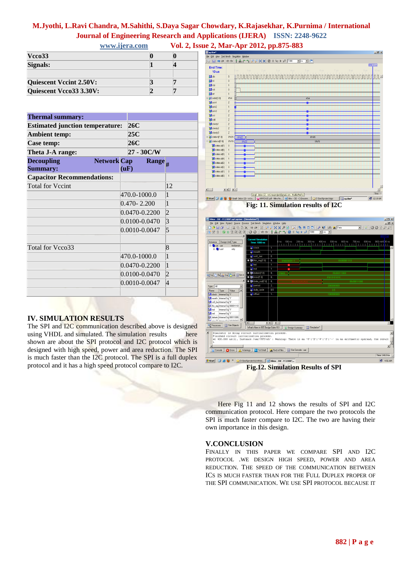| Vcco33                         |  |
|--------------------------------|--|
| Signals:                       |  |
|                                |  |
| <b>Quiescent Vccint 2.50V:</b> |  |
| Quiescent Vcco33 3.30V:        |  |

| <b>Thermal summary:</b>                                                      |  |      |                   |                   |                 |                   |                    |  |            |         |  |
|------------------------------------------------------------------------------|--|------|-------------------|-------------------|-----------------|-------------------|--------------------|--|------------|---------|--|
| <b>Estimated junction temperature:</b><br><b>Ambient temp:</b><br>Case temp: |  |      | 26C<br>25C<br>26C |                   |                 |                   |                    |  |            |         |  |
|                                                                              |  |      |                   |                   |                 | Theta J-A range:  |                    |  | 27 - 30C/W |         |  |
|                                                                              |  |      |                   |                   |                 | <b>Decoupling</b> | <b>Network</b> Cap |  |            | Range # |  |
| <b>Summary:</b>                                                              |  | (uF) |                   |                   |                 |                   |                    |  |            |         |  |
| <b>Capacitor Recommendations:</b>                                            |  |      |                   |                   |                 |                   |                    |  |            |         |  |
| <b>Total for Vecint</b>                                                      |  |      |                   |                   | 12              |                   |                    |  |            |         |  |
|                                                                              |  |      | 470.0-1000.0      |                   | $\mathbf{1}$    |                   |                    |  |            |         |  |
|                                                                              |  |      | $0.470 - 2.200$   |                   | $\mathbf{1}$    |                   |                    |  |            |         |  |
|                                                                              |  |      |                   | 0.0470-0.2200     | $\overline{2}$  |                   |                    |  |            |         |  |
|                                                                              |  |      |                   | 0.0100-0.0470     | $\overline{3}$  |                   |                    |  |            |         |  |
|                                                                              |  |      |                   | $0.0010 - 0.0047$ | 5               |                   |                    |  |            |         |  |
|                                                                              |  |      |                   |                   |                 |                   |                    |  |            |         |  |
| Total for Vcco33                                                             |  |      |                   |                   | $8\overline{8}$ |                   |                    |  |            |         |  |
|                                                                              |  |      | 470.0-1000.0      |                   | $\mathbf{1}$    |                   |                    |  |            |         |  |
|                                                                              |  |      |                   | 0.0470-0.2200     | $\overline{1}$  |                   |                    |  |            |         |  |
|                                                                              |  |      |                   | 0.0100-0.0470     | $\overline{2}$  |                   |                    |  |            |         |  |
|                                                                              |  |      |                   | $0.0010 - 0.0047$ | $\overline{4}$  |                   |                    |  |            |         |  |
|                                                                              |  |      |                   |                   |                 |                   |                    |  |            |         |  |



The SPI and I2C communication described above is designed using VHDL and simulated. The simulation results here shown are about the SPI protocol and I2C protocol which is designed with high speed, power and area reduction. The SPI is much faster than the I2C protocol. The SPI is a full duplex protocol and it has a high speed protocol compare to I2C.







**Fig.12. Simulation Results of SPI**

 Here Fig 11 and 12 shows the results of SPI and I2C communication protocol. Here compare the two protocols the SPI is much faster compare to I2C. The two are having their own importance in this design.

### **V.CONCLUSION**

FINALLY IN THIS PAPER WE COMPARE SPI AND I2C PROTOCOL .WE DESIGN HIGH SPEED, POWER AND AREA REDUCTION. THE SPEED OF THE COMMUNICATION BETWEEN ICS IS MUCH FASTER THAN FOR THE FULL DUPLEX PROPER OF THE SPI COMMUNICATION. WE USE SPI PROTOCOL BECAUSE IT